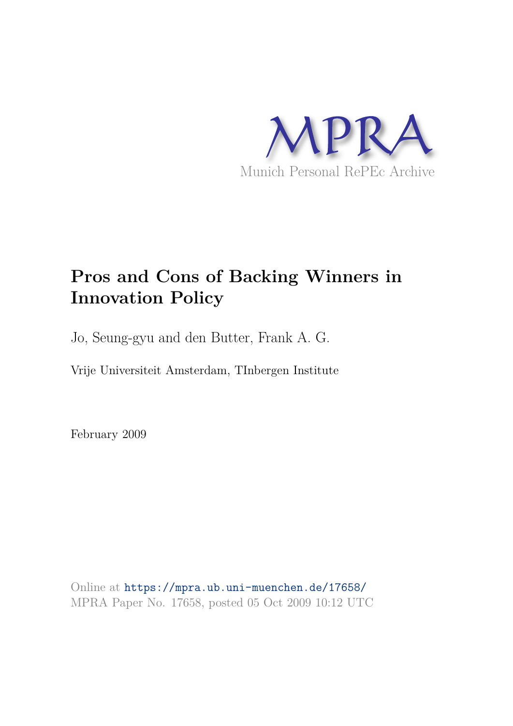

# **Pros and Cons of Backing Winners in Innovation Policy**

Jo, Seung-gyu and den Butter, Frank A. G.

Vrije Universiteit Amsterdam, TInbergen Institute

February 2009

Online at https://mpra.ub.uni-muenchen.de/17658/ MPRA Paper No. 17658, posted 05 Oct 2009 10:12 UTC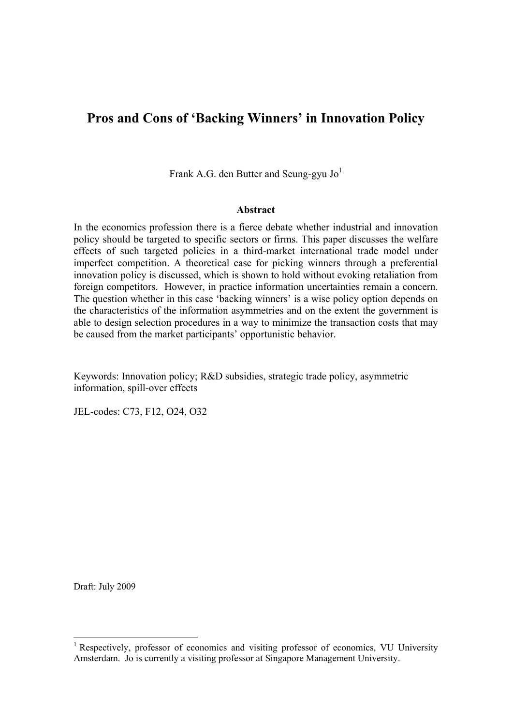# **Pros and Cons of 'Backing Winners' in Innovation Policy**

Frank A.G. den Butter and Seung-gyu  $Jo<sup>1</sup>$ 

# **Abstract**

In the economics profession there is a fierce debate whether industrial and innovation policy should be targeted to specific sectors or firms. This paper discusses the welfare effects of such targeted policies in a third-market international trade model under imperfect competition. A theoretical case for picking winners through a preferential innovation policy is discussed, which is shown to hold without evoking retaliation from foreign competitors. However, in practice information uncertainties remain a concern. The question whether in this case 'backing winners' is a wise policy option depends on the characteristics of the information asymmetries and on the extent the government is able to design selection procedures in a way to minimize the transaction costs that may be caused from the market participants' opportunistic behavior.

Keywords: Innovation policy; R&D subsidies, strategic trade policy, asymmetric information, spill-over effects

JEL-codes: C73, F12, O24, O32

Draft: July 2009

<u>.</u>

<sup>&</sup>lt;sup>1</sup> Respectively, professor of economics and visiting professor of economics, VU University Amsterdam. Jo is currently a visiting professor at Singapore Management University.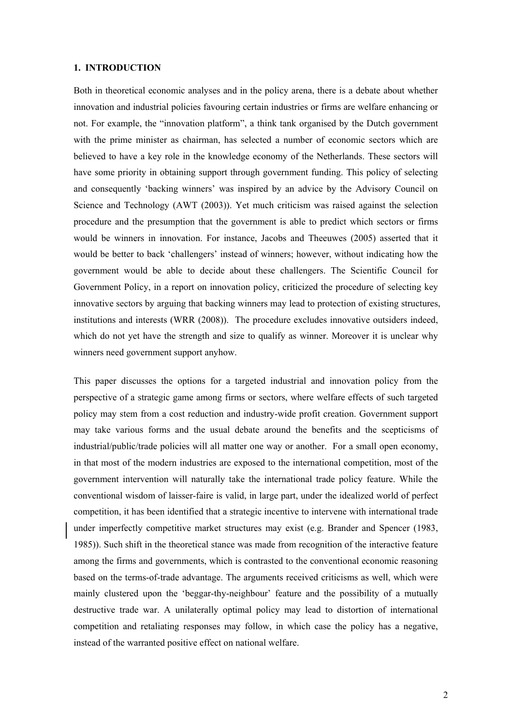#### **1. INTRODUCTION**

Both in theoretical economic analyses and in the policy arena, there is a debate about whether innovation and industrial policies favouring certain industries or firms are welfare enhancing or not. For example, the "innovation platform", a think tank organised by the Dutch government with the prime minister as chairman, has selected a number of economic sectors which are believed to have a key role in the knowledge economy of the Netherlands. These sectors will have some priority in obtaining support through government funding. This policy of selecting and consequently 'backing winners' was inspired by an advice by the Advisory Council on Science and Technology (AWT (2003)). Yet much criticism was raised against the selection procedure and the presumption that the government is able to predict which sectors or firms would be winners in innovation. For instance, Jacobs and Theeuwes (2005) asserted that it would be better to back 'challengers' instead of winners; however, without indicating how the government would be able to decide about these challengers. The Scientific Council for Government Policy, in a report on innovation policy, criticized the procedure of selecting key innovative sectors by arguing that backing winners may lead to protection of existing structures, institutions and interests (WRR (2008)). The procedure excludes innovative outsiders indeed, which do not yet have the strength and size to qualify as winner. Moreover it is unclear why winners need government support anyhow.

This paper discusses the options for a targeted industrial and innovation policy from the perspective of a strategic game among firms or sectors, where welfare effects of such targeted policy may stem from a cost reduction and industry-wide profit creation. Government support may take various forms and the usual debate around the benefits and the scepticisms of industrial/public/trade policies will all matter one way or another. For a small open economy, in that most of the modern industries are exposed to the international competition, most of the government intervention will naturally take the international trade policy feature. While the conventional wisdom of laisser-faire is valid, in large part, under the idealized world of perfect competition, it has been identified that a strategic incentive to intervene with international trade under imperfectly competitive market structures may exist (e.g. Brander and Spencer (1983, 1985)). Such shift in the theoretical stance was made from recognition of the interactive feature among the firms and governments, which is contrasted to the conventional economic reasoning based on the terms-of-trade advantage. The arguments received criticisms as well, which were mainly clustered upon the 'beggar-thy-neighbour' feature and the possibility of a mutually destructive trade war. A unilaterally optimal policy may lead to distortion of international competition and retaliating responses may follow, in which case the policy has a negative, instead of the warranted positive effect on national welfare.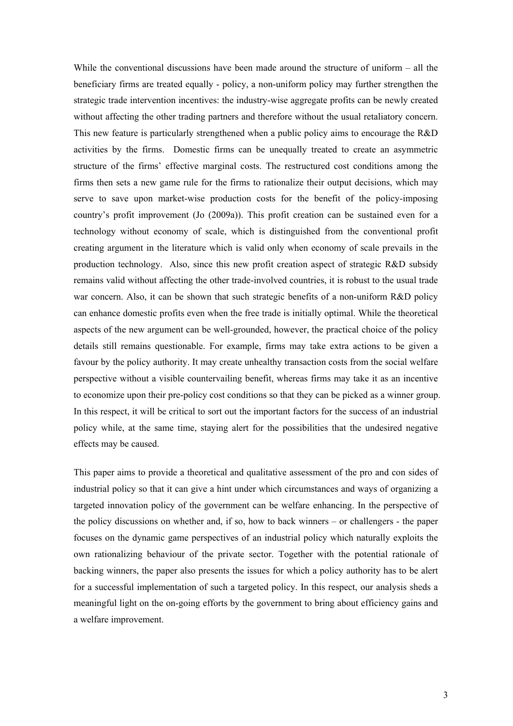While the conventional discussions have been made around the structure of uniform – all the beneficiary firms are treated equally - policy, a non-uniform policy may further strengthen the strategic trade intervention incentives: the industry-wise aggregate profits can be newly created without affecting the other trading partners and therefore without the usual retaliatory concern. This new feature is particularly strengthened when a public policy aims to encourage the R&D activities by the firms. Domestic firms can be unequally treated to create an asymmetric structure of the firms' effective marginal costs. The restructured cost conditions among the firms then sets a new game rule for the firms to rationalize their output decisions, which may serve to save upon market-wise production costs for the benefit of the policy-imposing country's profit improvement (Jo (2009a)). This profit creation can be sustained even for a technology without economy of scale, which is distinguished from the conventional profit creating argument in the literature which is valid only when economy of scale prevails in the production technology. Also, since this new profit creation aspect of strategic R&D subsidy remains valid without affecting the other trade-involved countries, it is robust to the usual trade war concern. Also, it can be shown that such strategic benefits of a non-uniform R&D policy can enhance domestic profits even when the free trade is initially optimal. While the theoretical aspects of the new argument can be well-grounded, however, the practical choice of the policy details still remains questionable. For example, firms may take extra actions to be given a favour by the policy authority. It may create unhealthy transaction costs from the social welfare perspective without a visible countervailing benefit, whereas firms may take it as an incentive to economize upon their pre-policy cost conditions so that they can be picked as a winner group. In this respect, it will be critical to sort out the important factors for the success of an industrial policy while, at the same time, staying alert for the possibilities that the undesired negative effects may be caused.

This paper aims to provide a theoretical and qualitative assessment of the pro and con sides of industrial policy so that it can give a hint under which circumstances and ways of organizing a targeted innovation policy of the government can be welfare enhancing. In the perspective of the policy discussions on whether and, if so, how to back winners – or challengers - the paper focuses on the dynamic game perspectives of an industrial policy which naturally exploits the own rationalizing behaviour of the private sector. Together with the potential rationale of backing winners, the paper also presents the issues for which a policy authority has to be alert for a successful implementation of such a targeted policy. In this respect, our analysis sheds a meaningful light on the on-going efforts by the government to bring about efficiency gains and a welfare improvement.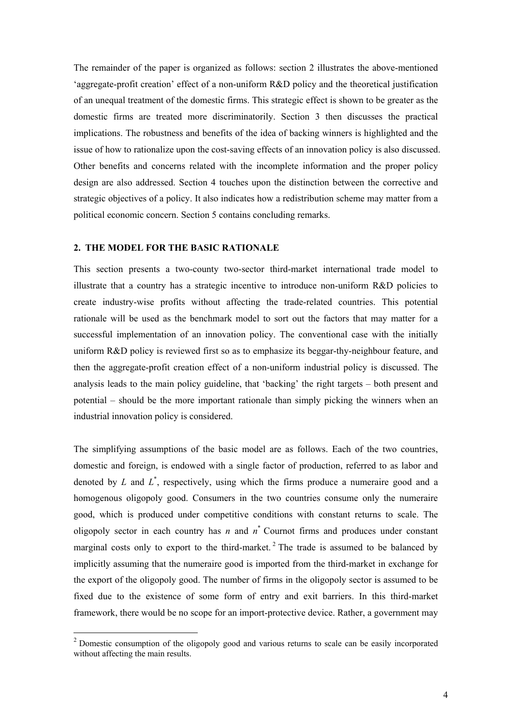The remainder of the paper is organized as follows: section 2 illustrates the above-mentioned 'aggregate-profit creation' effect of a non-uniform R&D policy and the theoretical justification of an unequal treatment of the domestic firms. This strategic effect is shown to be greater as the domestic firms are treated more discriminatorily. Section 3 then discusses the practical implications. The robustness and benefits of the idea of backing winners is highlighted and the issue of how to rationalize upon the cost-saving effects of an innovation policy is also discussed. Other benefits and concerns related with the incomplete information and the proper policy design are also addressed. Section 4 touches upon the distinction between the corrective and strategic objectives of a policy. It also indicates how a redistribution scheme may matter from a political economic concern. Section 5 contains concluding remarks.

# **2. THE MODEL FOR THE BASIC RATIONALE**

<u>.</u>

This section presents a two-county two-sector third-market international trade model to illustrate that a country has a strategic incentive to introduce non-uniform R&D policies to create industry-wise profits without affecting the trade-related countries. This potential rationale will be used as the benchmark model to sort out the factors that may matter for a successful implementation of an innovation policy. The conventional case with the initially uniform R&D policy is reviewed first so as to emphasize its beggar-thy-neighbour feature, and then the aggregate-profit creation effect of a non-uniform industrial policy is discussed. The analysis leads to the main policy guideline, that 'backing' the right targets – both present and potential – should be the more important rationale than simply picking the winners when an industrial innovation policy is considered.

The simplifying assumptions of the basic model are as follows. Each of the two countries, domestic and foreign, is endowed with a single factor of production, referred to as labor and denoted by  $L$  and  $L^*$ , respectively, using which the firms produce a numeraire good and a homogenous oligopoly good. Consumers in the two countries consume only the numeraire good, which is produced under competitive conditions with constant returns to scale. The oligopoly sector in each country has  $n$  and  $n^*$  Cournot firms and produces under constant marginal costs only to export to the third-market.<sup>2</sup> The trade is assumed to be balanced by implicitly assuming that the numeraire good is imported from the third-market in exchange for the export of the oligopoly good. The number of firms in the oligopoly sector is assumed to be fixed due to the existence of some form of entry and exit barriers. In this third-market framework, there would be no scope for an import-protective device. Rather, a government may

<sup>&</sup>lt;sup>2</sup> Domestic consumption of the oligopoly good and various returns to scale can be easily incorporated without affecting the main results.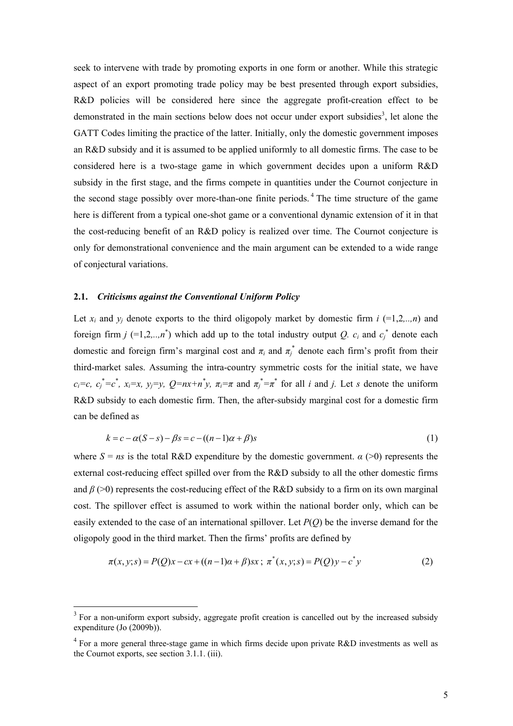seek to intervene with trade by promoting exports in one form or another. While this strategic aspect of an export promoting trade policy may be best presented through export subsidies, R&D policies will be considered here since the aggregate profit-creation effect to be demonstrated in the main sections below does not occur under export subsidies<sup>3</sup>, let alone the GATT Codes limiting the practice of the latter. Initially, only the domestic government imposes an R&D subsidy and it is assumed to be applied uniformly to all domestic firms. The case to be considered here is a two-stage game in which government decides upon a uniform R&D subsidy in the first stage, and the firms compete in quantities under the Cournot conjecture in the second stage possibly over more-than-one finite periods.<sup>4</sup> The time structure of the game here is different from a typical one-shot game or a conventional dynamic extension of it in that the cost-reducing benefit of an R&D policy is realized over time. The Cournot conjecture is only for demonstrational convenience and the main argument can be extended to a wide range of conjectural variations.

# **2.1.** *Criticisms against the Conventional Uniform Policy*

-

Let  $x_i$  and  $y_j$  denote exports to the third oligopoly market by domestic firm  $i$  (=1,2,..,n) and foreign firm *j* (=1,2,..,*n*<sup>\*</sup>) which add up to the total industry output *Q.*  $c_i$  and  $c_j$ <sup>\*</sup> denote each domestic and foreign firm's marginal cost and  $\pi_i$  and  $\pi_j^*$  denote each firm's profit from their third-market sales. Assuming the intra-country symmetric costs for the initial state, we have  $c_i = c$ ,  $c_j^* = c^*$ ,  $x_i = x$ ,  $y_j = y$ ,  $Q = nx + n^*y$ ,  $\pi_i = \pi$  and  $\pi_j^* = \pi^*$  for all *i* and *j*. Let *s* denote the uniform R&D subsidy to each domestic firm. Then, the after-subsidy marginal cost for a domestic firm can be defined as

$$
k = c - \alpha(S - s) - \beta s = c - ((n - 1)\alpha + \beta)s
$$
\n<sup>(1)</sup>

where  $S = ns$  is the total R&D expenditure by the domestic government.  $\alpha$  (>0) represents the external cost-reducing effect spilled over from the R&D subsidy to all the other domestic firms and  $\beta$  (>0) represents the cost-reducing effect of the R&D subsidy to a firm on its own marginal cost. The spillover effect is assumed to work within the national border only, which can be easily extended to the case of an international spillover. Let *P*(*Q*) be the inverse demand for the oligopoly good in the third market. Then the firms' profits are defined by

$$
\pi(x, y; s) = P(Q)x - cx + ((n-1)\alpha + \beta)sx \; ; \; \pi^*(x, y; s) = P(Q)y - c^*y \tag{2}
$$

<sup>&</sup>lt;sup>3</sup> For a non-uniform export subsidy, aggregate profit creation is cancelled out by the increased subsidy expenditure (Jo (2009b)).

 $4$  For a more general three-stage game in which firms decide upon private R&D investments as well as the Cournot exports, see section 3.1.1. (iii).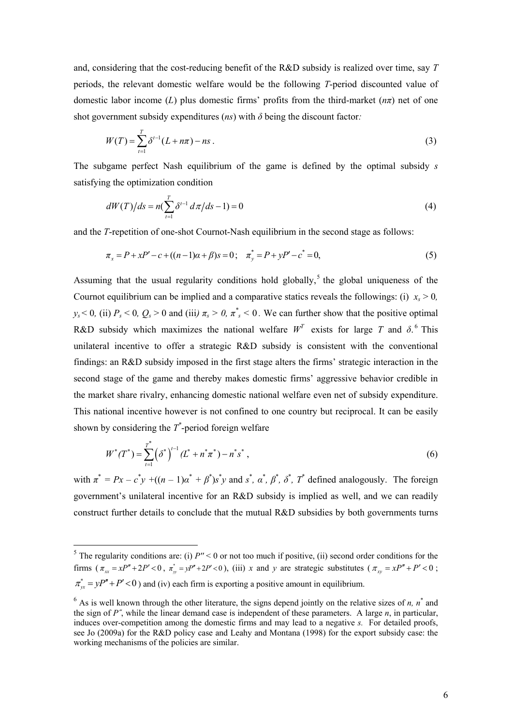and, considering that the cost-reducing benefit of the R&D subsidy is realized over time, say *T* periods, the relevant domestic welfare would be the following *T*-period discounted value of domestic labor income (*L*) plus domestic firms' profits from the third-market (*nπ*) net of one shot government subsidy expenditures ( $ns$ ) with  $\delta$  being the discount factor:

$$
W(T) = \sum_{t=1}^{T} \delta^{t-1} (L + n\pi) - ns \tag{3}
$$

The subgame perfect Nash equilibrium of the game is defined by the optimal subsidy *s* satisfying the optimization condition

$$
dW(T)/ds = n\left(\sum_{t=1}^{T} \delta^{t-1} d\pi/ds - 1\right) = 0\tag{4}
$$

and the *T*-repetition of one-shot Cournot-Nash equilibrium in the second stage as follows:

$$
\pi_x = P + xP' - c + ((n-1)\alpha + \beta)s = 0; \quad \pi_y^* = P + yP' - c^* = 0,
$$
\n(5)

Assuming that the usual regularity conditions hold globally,<sup>5</sup> the global uniqueness of the Cournot equilibrium can be implied and a comparative statics reveals the followings: (i)  $x_s > 0$ ,  $y_s$  < 0, (ii)  $P_s$  < 0,  $Q_s$  > 0 and (iii)  $\pi_s$  > 0,  $\pi^*$  < 0. We can further show that the positive optimal R&D subsidy which maximizes the national welfare  $W^T$  exists for large T and  $\delta$ .<sup>6</sup> This unilateral incentive to offer a strategic R&D subsidy is consistent with the conventional findings: an R&D subsidy imposed in the first stage alters the firms' strategic interaction in the second stage of the game and thereby makes domestic firms' aggressive behavior credible in the market share rivalry, enhancing domestic national welfare even net of subsidy expenditure. This national incentive however is not confined to one country but reciprocal. It can be easily shown by considering the  $T^*$ -period foreign welfare

$$
W^*(T^*) = \sum_{t=1}^{T^*} (\delta^*)^{t-1} (L^* + n^* \pi^*) - n^* s^*,
$$
 (6)

with  $\pi^* = Px - c^*y + ((n - 1)\alpha^* + \beta^*)s^*y$  and  $s^*, \alpha^*, \beta^*, \delta^*, T^*$  defined analogously. The foreign government's unilateral incentive for an R&D subsidy is implied as well, and we can readily construct further details to conclude that the mutual R&D subsidies by both governments turns

 $\frac{5}{100}$  The regularity conditions are: (i)  $P'' < 0$  or not too much if positive, (ii) second order conditions for the firms  $(\pi_{xx} = xP'' + 2P' < 0, \pi_{yy}^* = yP'' + 2P' < 0)$ , (iii) *x* and *y* are strategic substitutes  $(\pi_{xy} = xP'' + P' < 0)$ ;  $\pi_{w}^{*} = yP'' + P' < 0$  ) and (iv) each firm is exporting a positive amount in equilibrium.

 $6$  As is well known through the other literature, the signs depend jointly on the relative sizes of *n*,  $n^*$  and the sign of *P˝*, while the linear demand case is independent of these parameters. A large *n*, in particular, induces over-competition among the domestic firms and may lead to a negative *s.* For detailed proofs, see Jo (2009a) for the R&D policy case and Leahy and Montana (1998) for the export subsidy case: the working mechanisms of the policies are similar.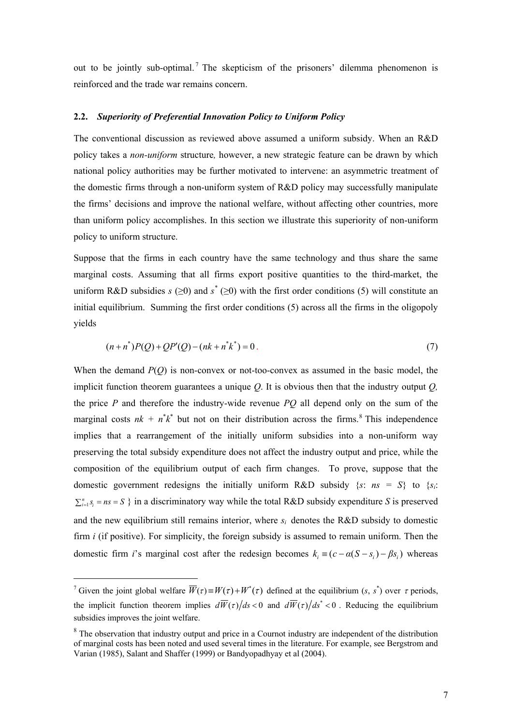out to be jointly sub-optimal.<sup>7</sup> The skepticism of the prisoners' dilemma phenomenon is reinforced and the trade war remains concern.

#### **2.2.** *Superiority of Preferential Innovation Policy to Uniform Policy*

The conventional discussion as reviewed above assumed a uniform subsidy. When an R&D policy takes a *non-uniform* structure*,* however, a new strategic feature can be drawn by which national policy authorities may be further motivated to intervene: an asymmetric treatment of the domestic firms through a non-uniform system of R&D policy may successfully manipulate the firms' decisions and improve the national welfare, without affecting other countries, more than uniform policy accomplishes. In this section we illustrate this superiority of non-uniform policy to uniform structure.

Suppose that the firms in each country have the same technology and thus share the same marginal costs. Assuming that all firms export positive quantities to the third-market, the uniform R&D subsidies  $s \geq 0$ ) and  $s^* \geq 0$ ) with the first order conditions (5) will constitute an initial equilibrium. Summing the first order conditions (5) across all the firms in the oligopoly yields

$$
(n+n^*)P(Q) + QP'(Q) - (nk + n^*k^*) = 0.
$$
\n(7)

When the demand  $P(Q)$  is non-convex or not-too-convex as assumed in the basic model, the implicit function theorem guarantees a unique *Q*. It is obvious then that the industry output *Q,* the price *P* and therefore the industry-wide revenue *PQ* all depend only on the sum of the marginal costs  $nk + n^*k^*$  but not on their distribution across the firms.<sup>8</sup> This independence implies that a rearrangement of the initially uniform subsidies into a non-uniform way preserving the total subsidy expenditure does not affect the industry output and price, while the composition of the equilibrium output of each firm changes. To prove, suppose that the domestic government redesigns the initially uniform R&D subsidy  $\{s: ns = S\}$  to  $\{s_i:$  $\sum_{i=1}^{n} s_i = ns = S$  } in a discriminatory way while the total R&D subsidy expenditure *S* is preserved and the new equilibrium still remains interior, where  $s_i$  denotes the R&D subsidy to domestic firm *i* (if positive). For simplicity, the foreign subsidy is assumed to remain uniform. Then the domestic firm *i*'s marginal cost after the redesign becomes  $k_i \equiv (c - \alpha(S - s_i) - \beta s_i)$  whereas

<u>.</u>

<sup>&</sup>lt;sup>7</sup> Given the joint global welfare  $\overline{W}(\tau) = W(\tau) + W^*(\tau)$  defined at the equilibrium  $(s, s^*)$  over  $\tau$  periods, the implicit function theorem implies  $d\overline{W}(\tau)/ds < 0$  and  $d\overline{W}(\tau)/ds^* < 0$ . Reducing the equilibrium subsidies improves the joint welfare.

<sup>&</sup>lt;sup>8</sup> The observation that industry output and price in a Cournot industry are independent of the distribution of marginal costs has been noted and used several times in the literature. For example, see Bergstrom and Varian (1985), Salant and Shaffer (1999) or Bandyopadhyay et al (2004).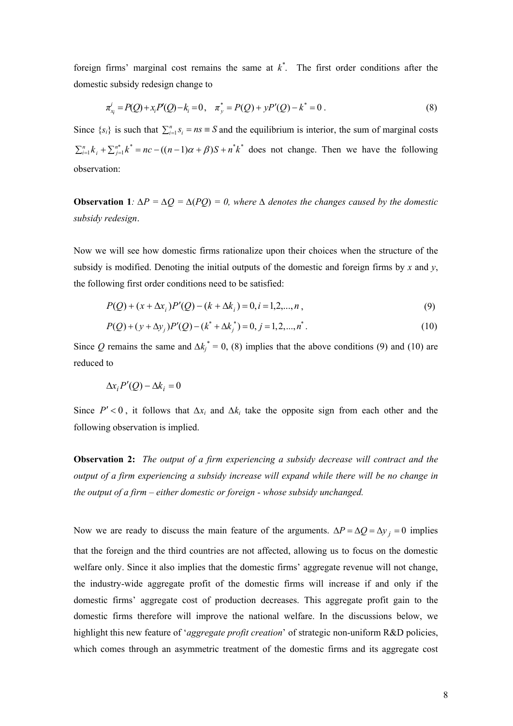foreign firms' marginal cost remains the same at *k \** . The first order conditions after the domestic subsidy redesign change to

$$
\pi_{x_i}^i = P(Q) + x_i P(Q) - k_i = 0, \quad \pi_{y_i}^* = P(Q) + y P'(Q) - k^* = 0.
$$
\n(8)

Since  $\{s_i\}$  is such that  $\sum_{i=1}^n s_i = ns \equiv S$  and the equilibrium is interior, the sum of marginal costs  $\sum_{i=1}^{n} k_i + \sum_{j=1}^{n^*} k^* = nc - ((n-1)\alpha + \beta)S + n^*k^*$  does not change. Then we have the following observation:

**Observation 1***:*  $\Delta P = \Delta Q = \Delta (PQ) = 0$ , where  $\Delta$  denotes the changes caused by the domestic *subsidy redesign*.

Now we will see how domestic firms rationalize upon their choices when the structure of the subsidy is modified. Denoting the initial outputs of the domestic and foreign firms by  $x$  and  $y$ , the following first order conditions need to be satisfied:

$$
P(Q) + (x + \Delta x_i)P'(Q) - (k + \Delta k_i) = 0, i = 1, 2, ..., n,
$$
\n(9)

$$
P(Q) + (y + \Delta y_j)P'(Q) - (k^* + \Delta k_j^*) = 0, j = 1, 2, ..., n^*.
$$
\n(10)

Since Q remains the same and  $\Delta k_j^* = 0$ , (8) implies that the above conditions (9) and (10) are reduced to

$$
\Delta x_i P'(Q) - \Delta k_i = 0
$$

Since  $P' < 0$ , it follows that  $\Delta x_i$  and  $\Delta k_i$  take the opposite sign from each other and the following observation is implied.

**Observation 2:** *The output of a firm experiencing a subsidy decrease will contract and the output of a firm experiencing a subsidy increase will expand while there will be no change in the output of a firm – either domestic or foreign - whose subsidy unchanged.* 

Now we are ready to discuss the main feature of the arguments.  $\Delta P = \Delta Q = \Delta y_i = 0$  implies that the foreign and the third countries are not affected, allowing us to focus on the domestic welfare only. Since it also implies that the domestic firms' aggregate revenue will not change, the industry-wide aggregate profit of the domestic firms will increase if and only if the domestic firms' aggregate cost of production decreases. This aggregate profit gain to the domestic firms therefore will improve the national welfare. In the discussions below, we highlight this new feature of '*aggregate profit creation*' of strategic non-uniform R&D policies, which comes through an asymmetric treatment of the domestic firms and its aggregate cost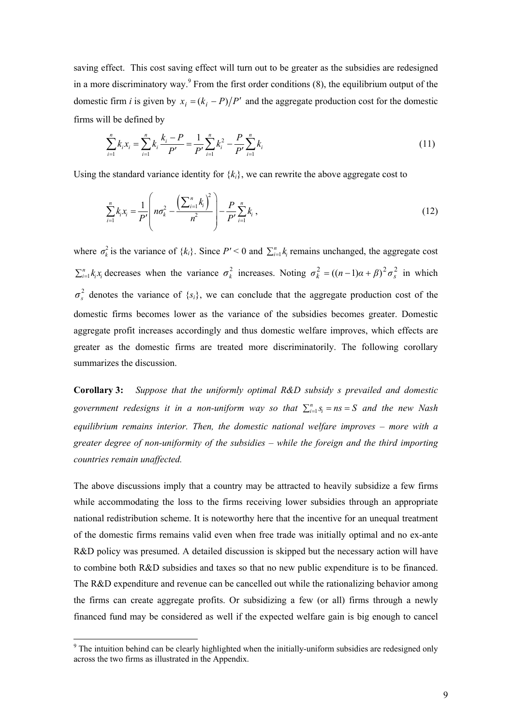saving effect. This cost saving effect will turn out to be greater as the subsidies are redesigned in a more discriminatory way.<sup>9</sup> From the first order conditions  $(8)$ , the equilibrium output of the domestic firm *i* is given by  $x_i = (k_i - P)/P'$  and the aggregate production cost for the domestic firms will be defined by

$$
\sum_{i=1}^{n} k_i x_i = \sum_{i=1}^{n} k_i \frac{k_i - P}{P'} = \frac{1}{P'} \sum_{i=1}^{n} k_i^2 - \frac{P}{P'} \sum_{i=1}^{n} k_i
$$
\n(11)

Using the standard variance identity for  $\{k_i\}$ , we can rewrite the above aggregate cost to

$$
\sum_{i=1}^{n} k_i x_i = \frac{1}{P'} \left( n \sigma_k^2 - \frac{\left( \sum_{i=1}^{n} k_i \right)^2}{n^2} \right) - \frac{P}{P'} \sum_{i=1}^{n} k_i , \qquad (12)
$$

where  $\sigma_k^2$  is the variance of  $\{k_i\}$ . Since  $P' \le 0$  and  $\sum_{i=1}^n k_i$  remains unchanged, the aggregate cost  $\sum_{i=1}^{n} k_i x_i$  decreases when the variance  $\sigma_k^2$  increases. Noting  $\sigma_k^2 = ((n-1)\alpha + \beta)^2 \sigma_s^2$  in which 2  $\sigma_s^2$  denotes the variance of  $\{s_i\}$ , we can conclude that the aggregate production cost of the domestic firms becomes lower as the variance of the subsidies becomes greater. Domestic aggregate profit increases accordingly and thus domestic welfare improves, which effects are greater as the domestic firms are treated more discriminatorily. The following corollary summarizes the discussion.

**Corollary 3:** *Suppose that the uniformly optimal R&D subsidy s prevailed and domestic*  government redesigns it in a non-uniform way so that  $\sum_{i=1}^{n} s_i = ns = S$  and the new Nash *equilibrium remains interior. Then, the domestic national welfare improves – more with a greater degree of non-uniformity of the subsidies – while the foreign and the third importing countries remain unaffected.*

The above discussions imply that a country may be attracted to heavily subsidize a few firms while accommodating the loss to the firms receiving lower subsidies through an appropriate national redistribution scheme. It is noteworthy here that the incentive for an unequal treatment of the domestic firms remains valid even when free trade was initially optimal and no ex-ante R&D policy was presumed. A detailed discussion is skipped but the necessary action will have to combine both R&D subsidies and taxes so that no new public expenditure is to be financed. The R&D expenditure and revenue can be cancelled out while the rationalizing behavior among the firms can create aggregate profits. Or subsidizing a few (or all) firms through a newly financed fund may be considered as well if the expected welfare gain is big enough to cancel

The intuition behind can be clearly highlighted when the initially-uniform subsidies are redesigned only across the two firms as illustrated in the Appendix.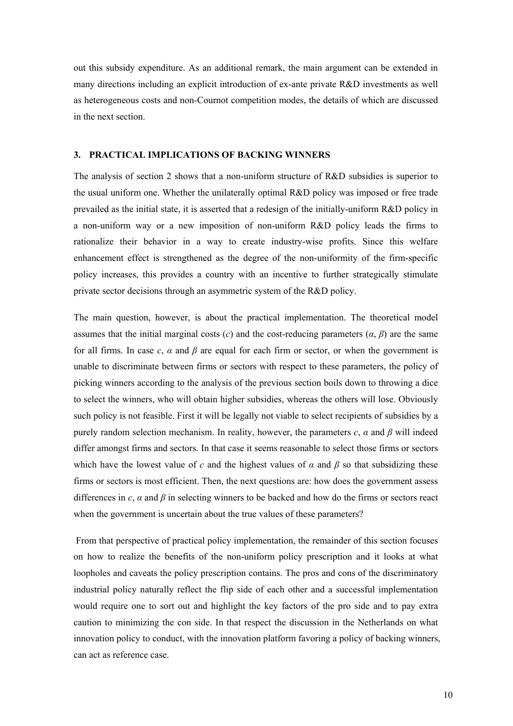out this subsidy expenditure. As an additional remark, the main argument can be extended in many directions including an explicit introduction of ex-ante private R&D investments as well as heterogeneous costs and non-Cournot competition modes, the details of which are discussed in the next section.

#### **3. PRACTICAL IMPLICATIONS OF BACKING WINNERS**

The analysis of section 2 shows that a non-uniform structure of R&D subsidies is superior to the usual uniform one. Whether the unilaterally optimal R&D policy was imposed or free trade prevailed as the initial state, it is asserted that a redesign of the initially-uniform R&D policy in a non-uniform way or a new imposition of non-uniform R&D policy leads the firms to rationalize their behavior in a way to create industry-wise profits. Since this welfare enhancement effect is strengthened as the degree of the non-uniformity of the firm-specific policy increases, this provides a country with an incentive to further strategically stimulate private sector decisions through an asymmetric system of the R&D policy.

The main question, however, is about the practical implementation. The theoretical model assumes that the initial marginal costs (*c*) and the cost-reducing parameters  $(\alpha, \beta)$  are the same for all firms. In case  $c$ ,  $\alpha$  and  $\beta$  are equal for each firm or sector, or when the government is unable to discriminate between firms or sectors with respect to these parameters, the policy of picking winners according to the analysis of the previous section boils down to throwing a dice to select the winners, who will obtain higher subsidies, whereas the others will lose. Obviously such policy is not feasible. First it will be legally not viable to select recipients of subsidies by a purely random selection mechanism. In reality, however, the parameters *c*, *α* and *β* will indeed differ amongst firms and sectors. In that case it seems reasonable to select those firms or sectors which have the lowest value of *c* and the highest values of  $\alpha$  and  $\beta$  so that subsidizing these firms or sectors is most efficient. Then, the next questions are: how does the government assess differences in *c*, *α* and *β* in selecting winners to be backed and how do the firms or sectors react when the government is uncertain about the true values of these parameters?

 From that perspective of practical policy implementation, the remainder of this section focuses on how to realize the benefits of the non-uniform policy prescription and it looks at what loopholes and caveats the policy prescription contains. The pros and cons of the discriminatory industrial policy naturally reflect the flip side of each other and a successful implementation would require one to sort out and highlight the key factors of the pro side and to pay extra caution to minimizing the con side. In that respect the discussion in the Netherlands on what innovation policy to conduct, with the innovation platform favoring a policy of backing winners, can act as reference case.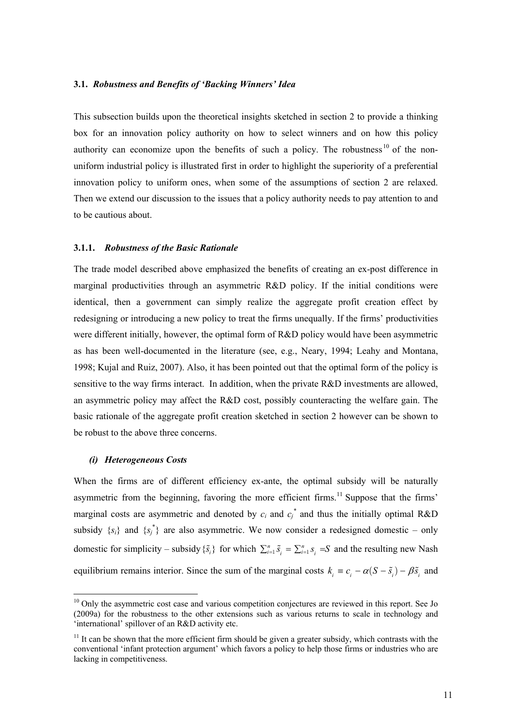# **3.1.** *Robustness and Benefits of 'Backing Winners' Idea*

This subsection builds upon the theoretical insights sketched in section 2 to provide a thinking box for an innovation policy authority on how to select winners and on how this policy authority can economize upon the benefits of such a policy. The robustness  $10$  of the nonuniform industrial policy is illustrated first in order to highlight the superiority of a preferential innovation policy to uniform ones, when some of the assumptions of section 2 are relaxed. Then we extend our discussion to the issues that a policy authority needs to pay attention to and to be cautious about.

#### **3.1.1.** *Robustness of the Basic Rationale*

The trade model described above emphasized the benefits of creating an ex-post difference in marginal productivities through an asymmetric R&D policy. If the initial conditions were identical, then a government can simply realize the aggregate profit creation effect by redesigning or introducing a new policy to treat the firms unequally. If the firms' productivities were different initially, however, the optimal form of R&D policy would have been asymmetric as has been well-documented in the literature (see, e.g., Neary, 1994; Leahy and Montana, 1998; Kujal and Ruiz, 2007). Also, it has been pointed out that the optimal form of the policy is sensitive to the way firms interact. In addition, when the private R&D investments are allowed, an asymmetric policy may affect the R&D cost, possibly counteracting the welfare gain. The basic rationale of the aggregate profit creation sketched in section 2 however can be shown to be robust to the above three concerns.

# *(i) Heterogeneous Costs*

-

When the firms are of different efficiency ex-ante, the optimal subsidy will be naturally asymmetric from the beginning, favoring the more efficient firms.<sup>11</sup> Suppose that the firms' marginal costs are asymmetric and denoted by  $c_i$  and  $c_j^*$  and thus the initially optimal R&D subsidy  $\{s_i\}$  and  $\{s_j^*\}$  are also asymmetric. We now consider a redesigned domestic – only domestic for simplicity – subsidy  $\{\tilde{S}_i\}$  for which  $\sum_{i=1}^n \tilde{S}_i = \sum_{i=1}^n s_i = S$  and the resulting new Nash equilibrium remains interior. Since the sum of the marginal costs  $k_i \equiv c_i - \alpha (S - \tilde{s}_i) - \beta \tilde{s}_i$  and

<sup>&</sup>lt;sup>10</sup> Only the asymmetric cost case and various competition conjectures are reviewed in this report. See Jo (2009a) for the robustness to the other extensions such as various returns to scale in technology and 'international' spillover of an R&D activity etc.

 $11$  It can be shown that the more efficient firm should be given a greater subsidy, which contrasts with the conventional 'infant protection argument' which favors a policy to help those firms or industries who are lacking in competitiveness.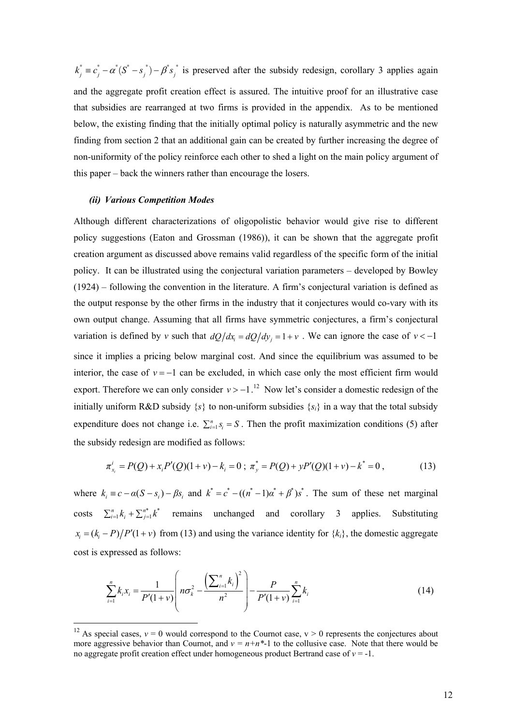$k_j^* = c_j^* - \alpha^* (S^* - s_j^*) - \beta^* s_j^*$  is preserved after the subsidy redesign, corollary 3 applies again and the aggregate profit creation effect is assured. The intuitive proof for an illustrative case that subsidies are rearranged at two firms is provided in the appendix. As to be mentioned below, the existing finding that the initially optimal policy is naturally asymmetric and the new finding from section 2 that an additional gain can be created by further increasing the degree of non-uniformity of the policy reinforce each other to shed a light on the main policy argument of this paper – back the winners rather than encourage the losers.

#### *(ii) Various Competition Modes*

-

Although different characterizations of oligopolistic behavior would give rise to different policy suggestions (Eaton and Grossman (1986)), it can be shown that the aggregate profit creation argument as discussed above remains valid regardless of the specific form of the initial policy. It can be illustrated using the conjectural variation parameters – developed by Bowley (1924) – following the convention in the literature. A firm's conjectural variation is defined as the output response by the other firms in the industry that it conjectures would co-vary with its own output change. Assuming that all firms have symmetric conjectures, a firm's conjectural variation is defined by *v* such that  $dQ/dx_i = dQ/dy_i = 1 + v$ . We can ignore the case of  $v < -1$ since it implies a pricing below marginal cost. And since the equilibrium was assumed to be interior, the case of  $v = -1$  can be excluded, in which case only the most efficient firm would export. Therefore we can only consider  $v > -1$ .<sup>12</sup> Now let's consider a domestic redesign of the initially uniform R&D subsidy  $\{s\}$  to non-uniform subsidies  $\{s_i\}$  in a way that the total subsidy expenditure does not change i.e.  $\sum_{i=1}^{n} s_i = S$ . Then the profit maximization conditions (5) after the subsidy redesign are modified as follows:

$$
\pi_{x_i}^i = P(Q) + x_i P'(Q)(1+v) - k_i = 0 \; ; \; \pi_y^* = P(Q) + y P'(Q)(1+v) - k^* = 0 \; , \tag{13}
$$

where  $k_i \equiv c - \alpha(S - s_i) - \beta s_i$  and  $k^* = c^* - ((n^* - 1)\alpha^* + \beta^*)s^*$ . The sum of these net marginal costs  $\sum_{i=1}^{n} k_i + \sum_{j=1}^{n*} k^*$  remains unchanged and corollary 3 applies. Substituting  $x_i = (k_i - P)/P'(1 + v)$  from (13) and using the variance identity for  ${k_i}$ , the domestic aggregate cost is expressed as follows:

$$
\sum_{i=1}^{n} k_i x_i = \frac{1}{P'(1+\nu)} \left( n \sigma_k^2 - \frac{\left(\sum_{i=1}^{n} k_i\right)^2}{n^2} \right) - \frac{P}{P'(1+\nu)} \sum_{i=1}^{n} k_i
$$
\n(14)

<sup>&</sup>lt;sup>12</sup> As special cases,  $v = 0$  would correspond to the Cournot case,  $v > 0$  represents the conjectures about more aggressive behavior than Cournot, and  $v = n+n<sup>*</sup>-1$  to the collusive case. Note that there would be no aggregate profit creation effect under homogeneous product Bertrand case of  $v = -1$ .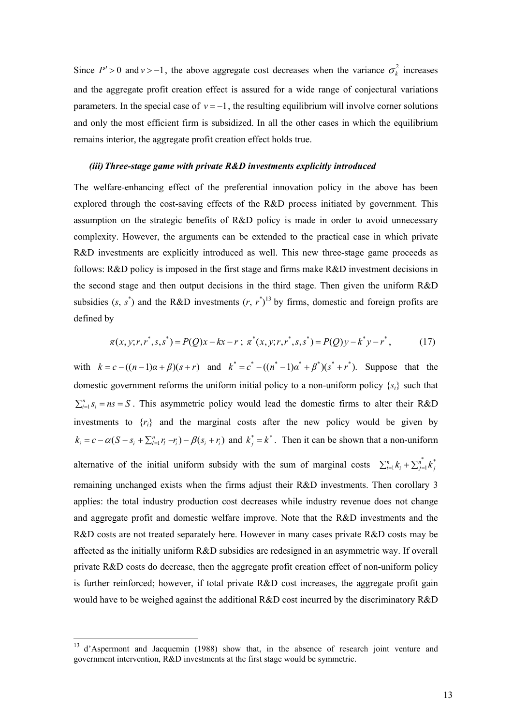Since  $P' > 0$  and  $v > -1$ , the above aggregate cost decreases when the variance  $\sigma_k^2$  increases and the aggregate profit creation effect is assured for a wide range of conjectural variations parameters. In the special case of  $y = -1$ , the resulting equilibrium will involve corner solutions and only the most efficient firm is subsidized. In all the other cases in which the equilibrium remains interior, the aggregate profit creation effect holds true.

#### *(iii)Three-stage game with private R&D investments explicitly introduced*

The welfare-enhancing effect of the preferential innovation policy in the above has been explored through the cost-saving effects of the R&D process initiated by government. This assumption on the strategic benefits of R&D policy is made in order to avoid unnecessary complexity. However, the arguments can be extended to the practical case in which private R&D investments are explicitly introduced as well. This new three-stage game proceeds as follows: R&D policy is imposed in the first stage and firms make R&D investment decisions in the second stage and then output decisions in the third stage. Then given the uniform R&D subsidies  $(s, s^*)$  and the R&D investments  $(r, r^*)^{13}$  by firms, domestic and foreign profits are defined by

$$
\pi(x, y; r, r^*, s, s^*) = P(Q)x - kx - r; \ \pi^*(x, y; r, r^*, s, s^*) = P(Q)y - k^*y - r^*,
$$
 (17)

with  $k = c - ((n-1)\alpha + \beta)(s+r)$  and  $k^* = c^* - ((n^* - 1)\alpha^* + \beta^*)(s^* + r^*)$ . Suppose that the domestic government reforms the uniform initial policy to a non-uniform policy  $\{s_i\}$  such that  $\sum_{i=1}^{n} s_i = ns = S$ . This asymmetric policy would lead the domestic firms to alter their R&D investments to  $\{r_i\}$  and the marginal costs after the new policy would be given by  $k_i = c - \alpha (S - s_i + \sum_{l=1}^n r_l - r_i) - \beta (s_i + r_i)$  and  $k_j^* = k^*$ . Then it can be shown that a non-uniform alternative of the initial uniform subsidy with the sum of marginal costs  $\sum_{i=1}^{n} k_i + \sum_{j=1}^{n} k_j^*$ remaining unchanged exists when the firms adjust their R&D investments. Then corollary 3 applies: the total industry production cost decreases while industry revenue does not change and aggregate profit and domestic welfare improve. Note that the R&D investments and the R&D costs are not treated separately here. However in many cases private R&D costs may be affected as the initially uniform R&D subsidies are redesigned in an asymmetric way. If overall private R&D costs do decrease, then the aggregate profit creation effect of non-uniform policy is further reinforced; however, if total private  $R&D$  cost increases, the aggregate profit gain would have to be weighed against the additional R&D cost incurred by the discriminatory R&D

<u>.</u>

<sup>13</sup> d'Aspermont and Jacquemin (1988) show that, in the absence of research joint venture and government intervention, R&D investments at the first stage would be symmetric.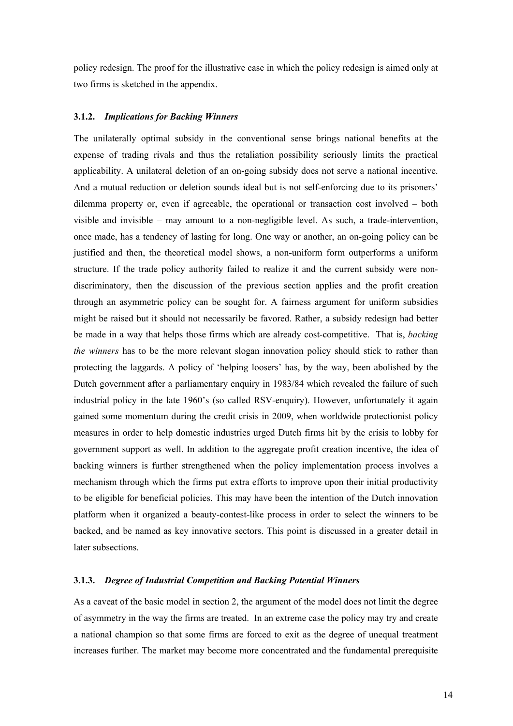policy redesign. The proof for the illustrative case in which the policy redesign is aimed only at two firms is sketched in the appendix.

#### **3.1.2.** *Implications for Backing Winners*

The unilaterally optimal subsidy in the conventional sense brings national benefits at the expense of trading rivals and thus the retaliation possibility seriously limits the practical applicability. A unilateral deletion of an on-going subsidy does not serve a national incentive. And a mutual reduction or deletion sounds ideal but is not self-enforcing due to its prisoners' dilemma property or, even if agreeable, the operational or transaction cost involved – both visible and invisible – may amount to a non-negligible level. As such, a trade-intervention, once made, has a tendency of lasting for long. One way or another, an on-going policy can be justified and then, the theoretical model shows, a non-uniform form outperforms a uniform structure. If the trade policy authority failed to realize it and the current subsidy were nondiscriminatory, then the discussion of the previous section applies and the profit creation through an asymmetric policy can be sought for. A fairness argument for uniform subsidies might be raised but it should not necessarily be favored. Rather, a subsidy redesign had better be made in a way that helps those firms which are already cost-competitive. That is, *backing the winners* has to be the more relevant slogan innovation policy should stick to rather than protecting the laggards. A policy of 'helping loosers' has, by the way, been abolished by the Dutch government after a parliamentary enquiry in 1983/84 which revealed the failure of such industrial policy in the late 1960's (so called RSV-enquiry). However, unfortunately it again gained some momentum during the credit crisis in 2009, when worldwide protectionist policy measures in order to help domestic industries urged Dutch firms hit by the crisis to lobby for government support as well. In addition to the aggregate profit creation incentive, the idea of backing winners is further strengthened when the policy implementation process involves a mechanism through which the firms put extra efforts to improve upon their initial productivity to be eligible for beneficial policies. This may have been the intention of the Dutch innovation platform when it organized a beauty-contest-like process in order to select the winners to be backed, and be named as key innovative sectors. This point is discussed in a greater detail in later subsections.

# **3.1.3.** *Degree of Industrial Competition and Backing Potential Winners*

As a caveat of the basic model in section 2, the argument of the model does not limit the degree of asymmetry in the way the firms are treated. In an extreme case the policy may try and create a national champion so that some firms are forced to exit as the degree of unequal treatment increases further. The market may become more concentrated and the fundamental prerequisite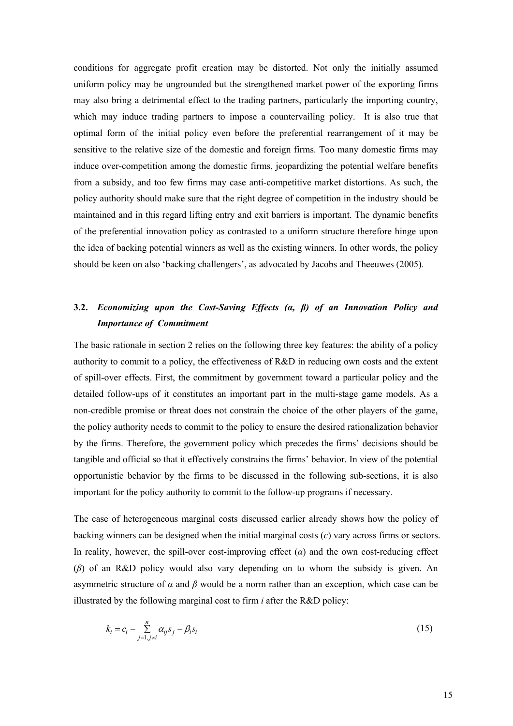conditions for aggregate profit creation may be distorted. Not only the initially assumed uniform policy may be ungrounded but the strengthened market power of the exporting firms may also bring a detrimental effect to the trading partners, particularly the importing country, which may induce trading partners to impose a countervailing policy. It is also true that optimal form of the initial policy even before the preferential rearrangement of it may be sensitive to the relative size of the domestic and foreign firms. Too many domestic firms may induce over-competition among the domestic firms, jeopardizing the potential welfare benefits from a subsidy, and too few firms may case anti-competitive market distortions. As such, the policy authority should make sure that the right degree of competition in the industry should be maintained and in this regard lifting entry and exit barriers is important. The dynamic benefits of the preferential innovation policy as contrasted to a uniform structure therefore hinge upon the idea of backing potential winners as well as the existing winners. In other words, the policy should be keen on also 'backing challengers', as advocated by Jacobs and Theeuwes (2005).

# **3.2.** *Economizing upon the Cost-Saving Effects (α, β) of an Innovation Policy and Importance of Commitment*

The basic rationale in section 2 relies on the following three key features: the ability of a policy authority to commit to a policy, the effectiveness of R&D in reducing own costs and the extent of spill-over effects. First, the commitment by government toward a particular policy and the detailed follow-ups of it constitutes an important part in the multi-stage game models. As a non-credible promise or threat does not constrain the choice of the other players of the game, the policy authority needs to commit to the policy to ensure the desired rationalization behavior by the firms. Therefore, the government policy which precedes the firms' decisions should be tangible and official so that it effectively constrains the firms' behavior. In view of the potential opportunistic behavior by the firms to be discussed in the following sub-sections, it is also important for the policy authority to commit to the follow-up programs if necessary.

The case of heterogeneous marginal costs discussed earlier already shows how the policy of backing winners can be designed when the initial marginal costs (*c*) vary across firms or sectors. In reality, however, the spill-over cost-improving effect  $(\alpha)$  and the own cost-reducing effect (*β*) of an R&D policy would also vary depending on to whom the subsidy is given. An asymmetric structure of  $\alpha$  and  $\beta$  would be a norm rather than an exception, which case can be illustrated by the following marginal cost to firm *i* after the R&D policy:

$$
k_i = c_i - \sum_{j=1, j \neq i}^{n} \alpha_{ij} s_j - \beta_i s_i
$$
 (15)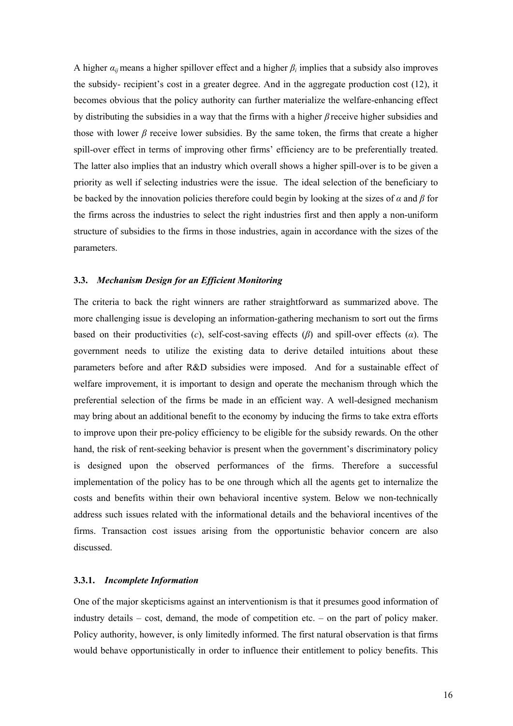A higher  $\alpha_{ij}$  means a higher spillover effect and a higher  $\beta_i$  implies that a subsidy also improves the subsidy- recipient's cost in a greater degree. And in the aggregate production cost (12), it becomes obvious that the policy authority can further materialize the welfare-enhancing effect by distributing the subsidies in a way that the firms with a higher *β* receive higher subsidies and those with lower *β* receive lower subsidies. By the same token, the firms that create a higher spill-over effect in terms of improving other firms' efficiency are to be preferentially treated. The latter also implies that an industry which overall shows a higher spill-over is to be given a priority as well if selecting industries were the issue. The ideal selection of the beneficiary to be backed by the innovation policies therefore could begin by looking at the sizes of *α* and *β* for the firms across the industries to select the right industries first and then apply a non-uniform structure of subsidies to the firms in those industries, again in accordance with the sizes of the parameters.

# **3.3.** *Mechanism Design for an Efficient Monitoring*

The criteria to back the right winners are rather straightforward as summarized above. The more challenging issue is developing an information-gathering mechanism to sort out the firms based on their productivities (*c*), self-cost-saving effects (*β*) and spill-over effects (*α*). The government needs to utilize the existing data to derive detailed intuitions about these parameters before and after R&D subsidies were imposed. And for a sustainable effect of welfare improvement, it is important to design and operate the mechanism through which the preferential selection of the firms be made in an efficient way. A well-designed mechanism may bring about an additional benefit to the economy by inducing the firms to take extra efforts to improve upon their pre-policy efficiency to be eligible for the subsidy rewards. On the other hand, the risk of rent-seeking behavior is present when the government's discriminatory policy is designed upon the observed performances of the firms. Therefore a successful implementation of the policy has to be one through which all the agents get to internalize the costs and benefits within their own behavioral incentive system. Below we non-technically address such issues related with the informational details and the behavioral incentives of the firms. Transaction cost issues arising from the opportunistic behavior concern are also discussed.

# **3.3.1.** *Incomplete Information*

One of the major skepticisms against an interventionism is that it presumes good information of industry details – cost, demand, the mode of competition etc. – on the part of policy maker. Policy authority, however, is only limitedly informed. The first natural observation is that firms would behave opportunistically in order to influence their entitlement to policy benefits. This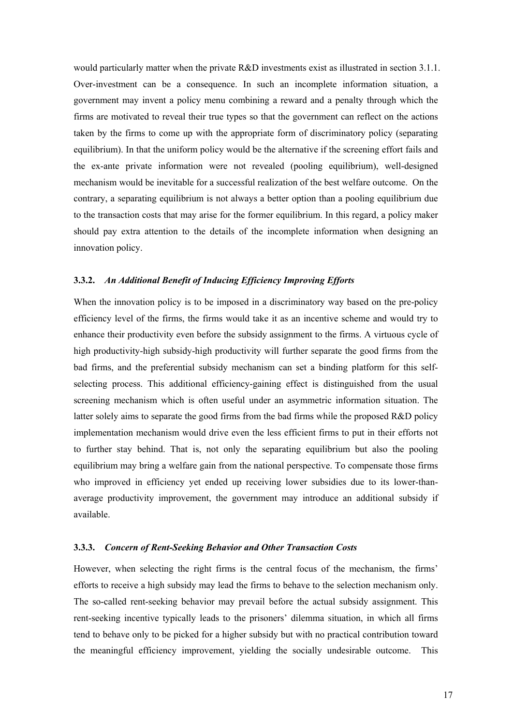would particularly matter when the private R&D investments exist as illustrated in section 3.1.1. Over-investment can be a consequence. In such an incomplete information situation, a government may invent a policy menu combining a reward and a penalty through which the firms are motivated to reveal their true types so that the government can reflect on the actions taken by the firms to come up with the appropriate form of discriminatory policy (separating equilibrium). In that the uniform policy would be the alternative if the screening effort fails and the ex-ante private information were not revealed (pooling equilibrium), well-designed mechanism would be inevitable for a successful realization of the best welfare outcome. On the contrary, a separating equilibrium is not always a better option than a pooling equilibrium due to the transaction costs that may arise for the former equilibrium. In this regard, a policy maker should pay extra attention to the details of the incomplete information when designing an innovation policy.

# **3.3.2.** *An Additional Benefit of Inducing Efficiency Improving Efforts*

When the innovation policy is to be imposed in a discriminatory way based on the pre-policy efficiency level of the firms, the firms would take it as an incentive scheme and would try to enhance their productivity even before the subsidy assignment to the firms. A virtuous cycle of high productivity-high subsidy-high productivity will further separate the good firms from the bad firms, and the preferential subsidy mechanism can set a binding platform for this selfselecting process. This additional efficiency-gaining effect is distinguished from the usual screening mechanism which is often useful under an asymmetric information situation. The latter solely aims to separate the good firms from the bad firms while the proposed R&D policy implementation mechanism would drive even the less efficient firms to put in their efforts not to further stay behind. That is, not only the separating equilibrium but also the pooling equilibrium may bring a welfare gain from the national perspective. To compensate those firms who improved in efficiency yet ended up receiving lower subsidies due to its lower-thanaverage productivity improvement, the government may introduce an additional subsidy if available.

# **3.3.3.** *Concern of Rent-Seeking Behavior and Other Transaction Costs*

However, when selecting the right firms is the central focus of the mechanism, the firms' efforts to receive a high subsidy may lead the firms to behave to the selection mechanism only. The so-called rent-seeking behavior may prevail before the actual subsidy assignment. This rent-seeking incentive typically leads to the prisoners' dilemma situation, in which all firms tend to behave only to be picked for a higher subsidy but with no practical contribution toward the meaningful efficiency improvement, yielding the socially undesirable outcome. This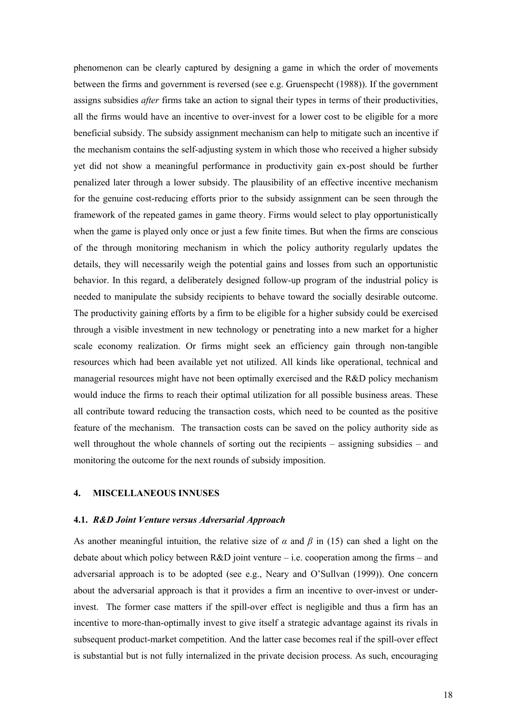phenomenon can be clearly captured by designing a game in which the order of movements between the firms and government is reversed (see e.g. Gruenspecht (1988)). If the government assigns subsidies *after* firms take an action to signal their types in terms of their productivities, all the firms would have an incentive to over-invest for a lower cost to be eligible for a more beneficial subsidy. The subsidy assignment mechanism can help to mitigate such an incentive if the mechanism contains the self-adjusting system in which those who received a higher subsidy yet did not show a meaningful performance in productivity gain ex-post should be further penalized later through a lower subsidy. The plausibility of an effective incentive mechanism for the genuine cost-reducing efforts prior to the subsidy assignment can be seen through the framework of the repeated games in game theory. Firms would select to play opportunistically when the game is played only once or just a few finite times. But when the firms are conscious of the through monitoring mechanism in which the policy authority regularly updates the details, they will necessarily weigh the potential gains and losses from such an opportunistic behavior. In this regard, a deliberately designed follow-up program of the industrial policy is needed to manipulate the subsidy recipients to behave toward the socially desirable outcome. The productivity gaining efforts by a firm to be eligible for a higher subsidy could be exercised through a visible investment in new technology or penetrating into a new market for a higher scale economy realization. Or firms might seek an efficiency gain through non-tangible resources which had been available yet not utilized. All kinds like operational, technical and managerial resources might have not been optimally exercised and the R&D policy mechanism would induce the firms to reach their optimal utilization for all possible business areas. These all contribute toward reducing the transaction costs, which need to be counted as the positive feature of the mechanism. The transaction costs can be saved on the policy authority side as well throughout the whole channels of sorting out the recipients – assigning subsidies – and monitoring the outcome for the next rounds of subsidy imposition.

# **4. MISCELLANEOUS INNUSES**

#### **4.1.** *R&D Joint Venture versus Adversarial Approach*

As another meaningful intuition, the relative size of  $\alpha$  and  $\beta$  in (15) can shed a light on the debate about which policy between  $R&D$  joint venture – i.e. cooperation among the firms – and adversarial approach is to be adopted (see e.g., Neary and O'Sullvan (1999)). One concern about the adversarial approach is that it provides a firm an incentive to over-invest or underinvest. The former case matters if the spill-over effect is negligible and thus a firm has an incentive to more-than-optimally invest to give itself a strategic advantage against its rivals in subsequent product-market competition. And the latter case becomes real if the spill-over effect is substantial but is not fully internalized in the private decision process. As such, encouraging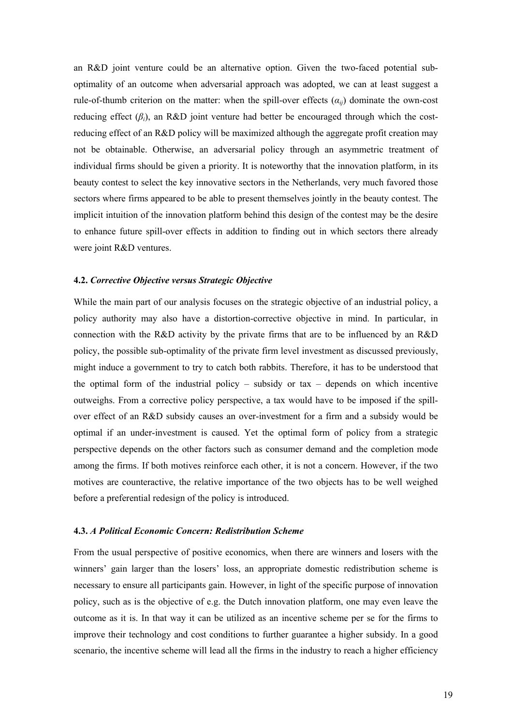an R&D joint venture could be an alternative option. Given the two-faced potential suboptimality of an outcome when adversarial approach was adopted, we can at least suggest a rule-of-thumb criterion on the matter: when the spill-over effects  $(a_{ii})$  dominate the own-cost reducing effect  $(\beta_i)$ , an R&D joint venture had better be encouraged through which the costreducing effect of an R&D policy will be maximized although the aggregate profit creation may not be obtainable. Otherwise, an adversarial policy through an asymmetric treatment of individual firms should be given a priority. It is noteworthy that the innovation platform, in its beauty contest to select the key innovative sectors in the Netherlands, very much favored those sectors where firms appeared to be able to present themselves jointly in the beauty contest. The implicit intuition of the innovation platform behind this design of the contest may be the desire to enhance future spill-over effects in addition to finding out in which sectors there already were joint R&D ventures.

# **4.2.** *Corrective Objective versus Strategic Objective*

While the main part of our analysis focuses on the strategic objective of an industrial policy, a policy authority may also have a distortion-corrective objective in mind. In particular, in connection with the R&D activity by the private firms that are to be influenced by an R&D policy, the possible sub-optimality of the private firm level investment as discussed previously, might induce a government to try to catch both rabbits. Therefore, it has to be understood that the optimal form of the industrial policy – subsidy or tax – depends on which incentive outweighs. From a corrective policy perspective, a tax would have to be imposed if the spillover effect of an R&D subsidy causes an over-investment for a firm and a subsidy would be optimal if an under-investment is caused. Yet the optimal form of policy from a strategic perspective depends on the other factors such as consumer demand and the completion mode among the firms. If both motives reinforce each other, it is not a concern. However, if the two motives are counteractive, the relative importance of the two objects has to be well weighed before a preferential redesign of the policy is introduced.

# **4.3.** *A Political Economic Concern: Redistribution Scheme*

From the usual perspective of positive economics, when there are winners and losers with the winners' gain larger than the losers' loss, an appropriate domestic redistribution scheme is necessary to ensure all participants gain. However, in light of the specific purpose of innovation policy, such as is the objective of e.g. the Dutch innovation platform, one may even leave the outcome as it is. In that way it can be utilized as an incentive scheme per se for the firms to improve their technology and cost conditions to further guarantee a higher subsidy. In a good scenario, the incentive scheme will lead all the firms in the industry to reach a higher efficiency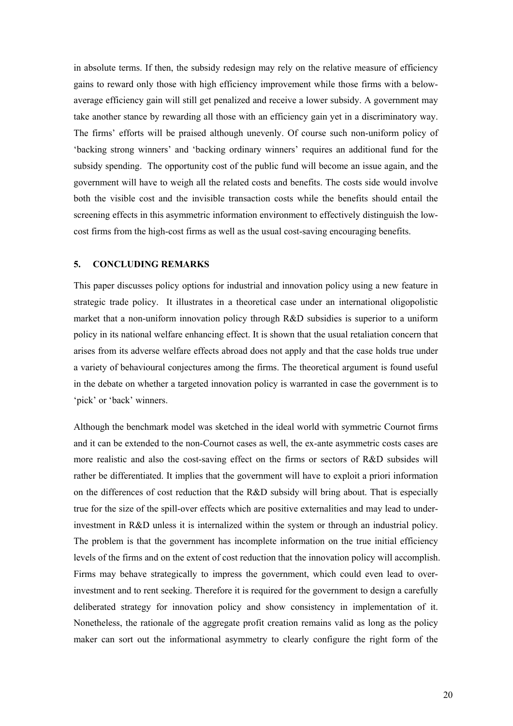in absolute terms. If then, the subsidy redesign may rely on the relative measure of efficiency gains to reward only those with high efficiency improvement while those firms with a belowaverage efficiency gain will still get penalized and receive a lower subsidy. A government may take another stance by rewarding all those with an efficiency gain yet in a discriminatory way. The firms' efforts will be praised although unevenly. Of course such non-uniform policy of 'backing strong winners' and 'backing ordinary winners' requires an additional fund for the subsidy spending. The opportunity cost of the public fund will become an issue again, and the government will have to weigh all the related costs and benefits. The costs side would involve both the visible cost and the invisible transaction costs while the benefits should entail the screening effects in this asymmetric information environment to effectively distinguish the lowcost firms from the high-cost firms as well as the usual cost-saving encouraging benefits.

# **5. CONCLUDING REMARKS**

This paper discusses policy options for industrial and innovation policy using a new feature in strategic trade policy. It illustrates in a theoretical case under an international oligopolistic market that a non-uniform innovation policy through R&D subsidies is superior to a uniform policy in its national welfare enhancing effect. It is shown that the usual retaliation concern that arises from its adverse welfare effects abroad does not apply and that the case holds true under a variety of behavioural conjectures among the firms. The theoretical argument is found useful in the debate on whether a targeted innovation policy is warranted in case the government is to 'pick' or 'back' winners.

Although the benchmark model was sketched in the ideal world with symmetric Cournot firms and it can be extended to the non-Cournot cases as well, the ex-ante asymmetric costs cases are more realistic and also the cost-saving effect on the firms or sectors of R&D subsides will rather be differentiated. It implies that the government will have to exploit a priori information on the differences of cost reduction that the R&D subsidy will bring about. That is especially true for the size of the spill-over effects which are positive externalities and may lead to underinvestment in R&D unless it is internalized within the system or through an industrial policy. The problem is that the government has incomplete information on the true initial efficiency levels of the firms and on the extent of cost reduction that the innovation policy will accomplish. Firms may behave strategically to impress the government, which could even lead to overinvestment and to rent seeking. Therefore it is required for the government to design a carefully deliberated strategy for innovation policy and show consistency in implementation of it. Nonetheless, the rationale of the aggregate profit creation remains valid as long as the policy maker can sort out the informational asymmetry to clearly configure the right form of the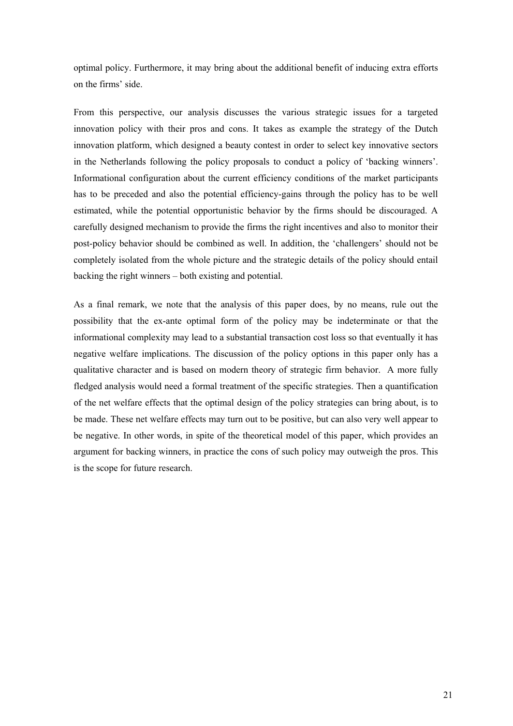optimal policy. Furthermore, it may bring about the additional benefit of inducing extra efforts on the firms' side.

From this perspective, our analysis discusses the various strategic issues for a targeted innovation policy with their pros and cons. It takes as example the strategy of the Dutch innovation platform, which designed a beauty contest in order to select key innovative sectors in the Netherlands following the policy proposals to conduct a policy of 'backing winners'. Informational configuration about the current efficiency conditions of the market participants has to be preceded and also the potential efficiency-gains through the policy has to be well estimated, while the potential opportunistic behavior by the firms should be discouraged. A carefully designed mechanism to provide the firms the right incentives and also to monitor their post-policy behavior should be combined as well. In addition, the 'challengers' should not be completely isolated from the whole picture and the strategic details of the policy should entail backing the right winners – both existing and potential.

As a final remark, we note that the analysis of this paper does, by no means, rule out the possibility that the ex-ante optimal form of the policy may be indeterminate or that the informational complexity may lead to a substantial transaction cost loss so that eventually it has negative welfare implications. The discussion of the policy options in this paper only has a qualitative character and is based on modern theory of strategic firm behavior. A more fully fledged analysis would need a formal treatment of the specific strategies. Then a quantification of the net welfare effects that the optimal design of the policy strategies can bring about, is to be made. These net welfare effects may turn out to be positive, but can also very well appear to be negative. In other words, in spite of the theoretical model of this paper, which provides an argument for backing winners, in practice the cons of such policy may outweigh the pros. This is the scope for future research.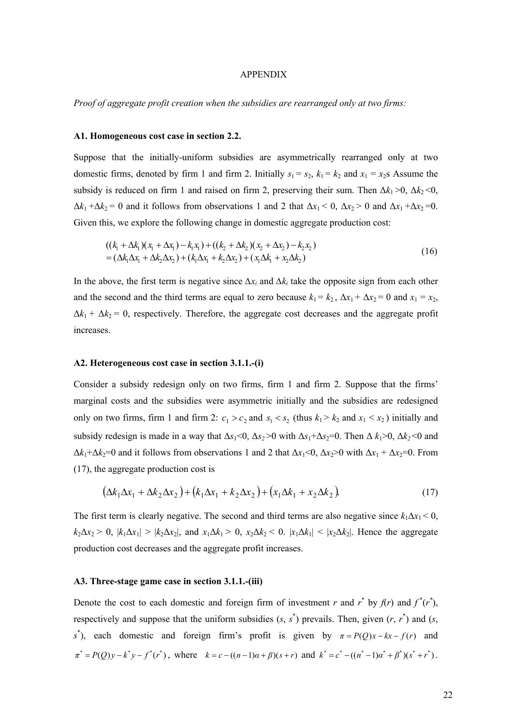#### APPENDIX

*Proof of aggregate profit creation when the subsidies are rearranged only at two firms:* 

#### **A1. Homogeneous cost case in section 2.2.**

Suppose that the initially-uniform subsidies are asymmetrically rearranged only at two domestic firms, denoted by firm 1 and firm 2. Initially  $s_1 = s_2$ ,  $k_1 = k_2$  and  $x_1 = x_2$  Assume the subsidy is reduced on firm 1 and raised on firm 2, preserving their sum. Then  $\Delta k_1 > 0$ ,  $\Delta k_2 < 0$ ,  $\Delta k_1 + \Delta k_2 = 0$  and it follows from observations 1 and 2 that  $\Delta x_1 < 0$ ,  $\Delta x_2 > 0$  and  $\Delta x_1 + \Delta x_2 = 0$ . Given this, we explore the following change in domestic aggregate production cost:

$$
((k_1 + \Delta k_1)(x_1 + \Delta x_1) - k_1 x_1) + ((k_2 + \Delta k_2)(x_2 + \Delta x_2) - k_2 x_2)
$$
  
=  $(\Delta k_1 \Delta x_1 + \Delta k_2 \Delta x_2) + (k_1 \Delta x_1 + k_2 \Delta x_2) + (x_1 \Delta k_1 + x_2 \Delta k_2)$  (16)

In the above, the first term is negative since  $\Delta x_i$  and  $\Delta k_i$  take the opposite sign from each other and the second and the third terms are equal to zero because  $k_1 = k_2$ ,  $\Delta x_1 + \Delta x_2 = 0$  and  $x_1 = x_2$ ,  $\Delta k_1 + \Delta k_2 = 0$ , respectively. Therefore, the aggregate cost decreases and the aggregate profit increases.

#### **A2. Heterogeneous cost case in section 3.1.1.-(i)**

Consider a subsidy redesign only on two firms, firm 1 and firm 2. Suppose that the firms' marginal costs and the subsidies were asymmetric initially and the subsidies are redesigned only on two firms, firm 1 and firm 2:  $c_1 > c_2$  and  $s_1 < s_2$  (thus  $k_1 > k_2$  and  $x_1 < x_2$ ) initially and subsidy redesign is made in a way that  $\Delta s_1 < 0$ ,  $\Delta s_2 > 0$  with  $\Delta s_1 + \Delta s_2 = 0$ . Then  $\Delta k_1 > 0$ ,  $\Delta k_2 < 0$  and  $\Delta k_1 + \Delta k_2 = 0$  and it follows from observations 1 and 2 that  $\Delta x_1 < 0$ ,  $\Delta x_2 > 0$  with  $\Delta x_1 + \Delta x_2 = 0$ . From (17), the aggregate production cost is

$$
(\Delta k_1 \Delta x_1 + \Delta k_2 \Delta x_2) + (k_1 \Delta x_1 + k_2 \Delta x_2) + (x_1 \Delta k_1 + x_2 \Delta k_2).
$$
 (17)

The first term is clearly negative. The second and third terms are also negative since  $k_1\Delta x_1 < 0$ ,  $k_2\Delta x_2 > 0$ ,  $|k_1\Delta x_1| > |k_2\Delta x_2|$ , and  $x_1\Delta k_1 > 0$ ,  $x_2\Delta k_2 < 0$ .  $|x_1\Delta k_1| < |x_2\Delta k_2|$ . Hence the aggregate production cost decreases and the aggregate profit increases.

#### **A3. Three-stage game case in section 3.1.1.-(iii)**

Denote the cost to each domestic and foreign firm of investment *r* and  $r^*$  by  $f(r)$  and  $f^*(r^*)$ , respectively and suppose that the uniform subsidies  $(s, s^*)$  prevails. Then, given  $(r, r^*)$  and  $(s,$ *s*<sup>\*</sup>), each domestic and foreign firm's profit is given by  $\pi = P(Q)x - kx - f(r)$  and  $\pi^* = P(Q)y - k^*y - f^*(r^*)$ , where  $k = c - ((n-1)\alpha + \beta)(s+r)$  and  $k^* = c^* - ((n^* - 1)\alpha^* + \beta^*)(s^* + r^*)$ .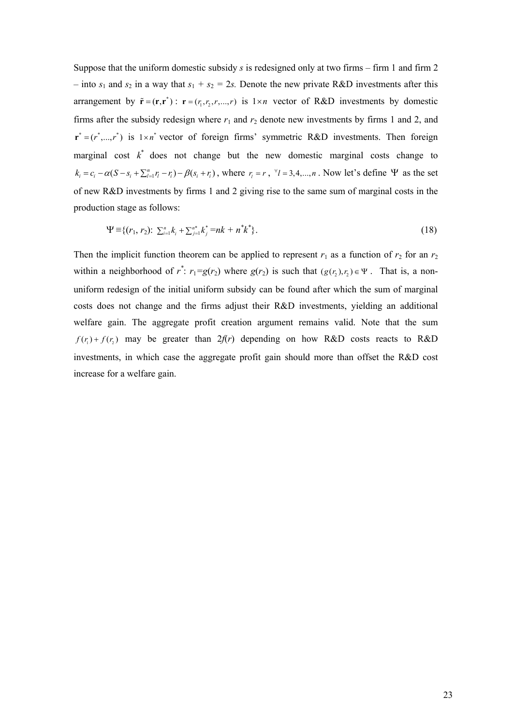Suppose that the uniform domestic subsidy *s* is redesigned only at two firms – firm 1 and firm 2 – into  $s_1$  and  $s_2$  in a way that  $s_1 + s_2 = 2s$ . Denote the new private R&D investments after this arrangement by  $\tilde{\mathbf{r}} = (\mathbf{r}, \mathbf{r}^*)$ :  $\mathbf{r} = (r_1, r_2, r, \dots, r)$  is  $1 \times n$  vector of R&D investments by domestic firms after the subsidy redesign where  $r_1$  and  $r_2$  denote new investments by firms 1 and 2, and  $\mathbf{r}^* = (r^*,..., r^*)$  is  $1 \times n^*$  vector of foreign firms' symmetric R&D investments. Then foreign marginal cost  $k^*$  does not change but the new domestic marginal costs change to  $k_i = c_i - \alpha (S - s_i + \sum_{l=1}^n r_l - r_i) - \beta (s_i + r_i)$ , where  $r_i = r$ ,  $\forall i = 3, 4, ..., n$ . Now let's define  $\Psi$  as the set of new R&D investments by firms 1 and 2 giving rise to the same sum of marginal costs in the production stage as follows:

$$
\Psi \equiv \{ (r_1, r_2) : \sum_{i=1}^n k_i + \sum_{j=1}^{n^*} k_j^* = nk + n^* k^* \}.
$$
 (18)

Then the implicit function theorem can be applied to represent  $r_1$  as a function of  $r_2$  for an  $r_2$ within a neighborhood of  $r^*$ :  $r_1 = g(r_2)$  where  $g(r_2)$  is such that  $(g(r_2), r_2) \in \Psi$ . That is, a nonuniform redesign of the initial uniform subsidy can be found after which the sum of marginal costs does not change and the firms adjust their R&D investments, yielding an additional welfare gain. The aggregate profit creation argument remains valid. Note that the sum  $f(r_1) + f(r_2)$  may be greater than  $2f(r)$  depending on how R&D costs reacts to R&D investments, in which case the aggregate profit gain should more than offset the R&D cost increase for a welfare gain.